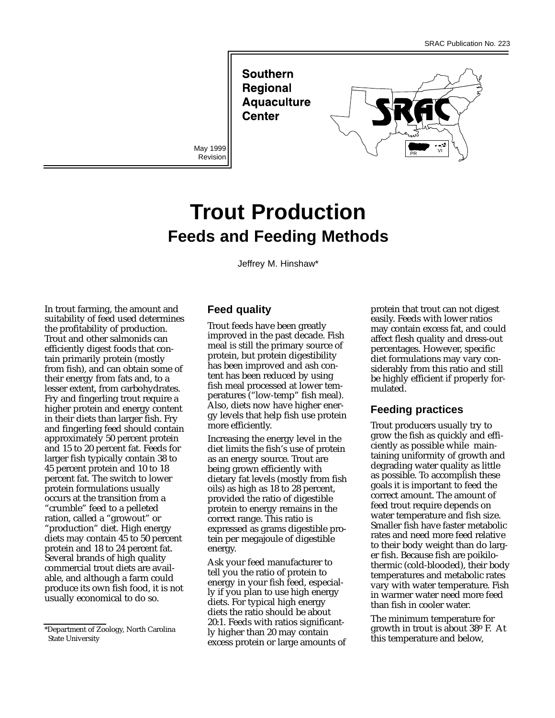**Southern Regional Aquaculture Center** 

Revision



# **Trout Production Feeds and Feeding Methods**

Jeffrey M. Hinshaw\*

In trout farming, the amount and suitability of feed used determines the profitability of production. Trout and other salmonids can efficiently digest foods that contain primarily protein (mostly from fish), and can obtain some of their energy from fats and, to a lesser extent, from carbohydrates. Fry and fingerling trout require a higher protein and energy content in their diets than larger fish. Fry and fingerling feed should contain approximately 50 percent protein and 15 to 20 percent fat. Feeds for larger fish typically contain 38 to 45 percent protein and 10 to 18 percent fat. The switch to lower protein formulations usually occurs at the transition from a "crumble" feed to a pelleted ration, called a "growout" or "production" diet. High energy diets may contain 45 to 50 percent protein and 18 to 24 percent fat. Several brands of high quality commercial trout diets are available, and although a farm could produce its own fish food, it is not usually economical to do so.

#### **Feed quality**

Trout feeds have been greatly improved in the past decade. Fish meal is still the primary source of protein, but protein digestibility has been improved and ash content has been reduced by using fish meal processed at lower temperatures ("low-temp" fish meal). Also, diets now have higher energy levels that help fish use protein more efficiently.

Increasing the energy level in the diet limits the fish's use of protein as an energy source. Trout are being grown efficiently with dietary fat levels (mostly from fish oils) as high as 18 to 28 percent, provided the ratio of digestible protein to energy remains in the correct range. This ratio is expressed as grams digestible protein per megajoule of digestible energy.

Ask your feed manufacturer to tell you the ratio of protein to energy in your fish feed, especially if you plan to use high energy diets. For typical high energy diets the ratio should be about 20:1. Feeds with ratios significantly higher than 20 may contain excess protein or large amounts of protein that trout can not digest easily. Feeds with lower ratios may contain excess fat, and could affect flesh quality and dress-out percentages. However, specific diet formulations may vary considerably from this ratio and still be highly efficient if properly formulated.

### **Feeding practices**

Trout producers usually try to grow the fish as quickly and efficiently as possible while maintaining uniformity of growth and degrading water quality as little as possible. To accomplish these goals it is important to feed the correct amount. The amount of feed trout require depends on water temperature and fish size. Smaller fish have faster metabolic rates and need more feed relative to their body weight than do larger fish. Because fish are poikilothermic (cold-blooded), their body temperatures and metabolic rates vary with water temperature. Fish in warmer water need more feed than fish in cooler water.

The minimum temperature for growth in trout is about 38o F. At this temperature and below,

<sup>\*</sup>Department of Zoology, North Carolina State University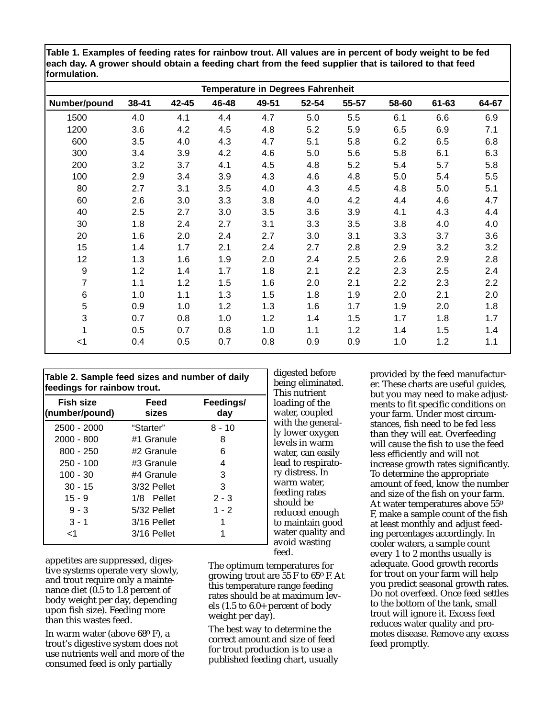**Table 1. Examples of feeding rates for rainbow trout. All values are in percent of body weight to be fed each day. A grower should obtain a feeding chart from the feed supplier that is tailored to that feed formulation.**

|              | Temperature in Degrees Fahrenheit |       |       |       |       |       |       |           |       |
|--------------|-----------------------------------|-------|-------|-------|-------|-------|-------|-----------|-------|
| Number/pound | 38-41                             | 42-45 | 46-48 | 49-51 | 52-54 | 55-57 | 58-60 | $61 - 63$ | 64-67 |
| 1500         | 4.0                               | 4.1   | 4.4   | 4.7   | 5.0   | 5.5   | 6.1   | 6.6       | 6.9   |
| 1200         | 3.6                               | 4.2   | 4.5   | 4.8   | 5.2   | 5.9   | 6.5   | 6.9       | 7.1   |
| 600          | 3.5                               | 4.0   | 4.3   | 4.7   | 5.1   | 5.8   | 6.2   | 6.5       | 6.8   |
| 300          | 3.4                               | 3.9   | 4.2   | 4.6   | 5.0   | 5.6   | 5.8   | 6.1       | 6.3   |
| 200          | 3.2                               | 3.7   | 4.1   | 4.5   | 4.8   | 5.2   | 5.4   | 5.7       | 5.8   |
| 100          | 2.9                               | 3.4   | 3.9   | 4.3   | 4.6   | 4.8   | 5.0   | 5.4       | 5.5   |
| 80           | 2.7                               | 3.1   | 3.5   | 4.0   | 4.3   | 4.5   | 4.8   | 5.0       | 5.1   |
| 60           | 2.6                               | 3.0   | 3.3   | 3.8   | 4.0   | 4.2   | 4.4   | 4.6       | 4.7   |
| 40           | 2.5                               | 2.7   | 3.0   | 3.5   | 3.6   | 3.9   | 4.1   | 4.3       | 4.4   |
| 30           | 1.8                               | 2.4   | 2.7   | 3.1   | 3.3   | 3.5   | 3.8   | 4.0       | 4.0   |
| 20           | 1.6                               | 2.0   | 2.4   | 2.7   | 3.0   | 3.1   | 3.3   | 3.7       | 3.6   |
| 15           | 1.4                               | 1.7   | 2.1   | 2.4   | 2.7   | 2.8   | 2.9   | 3.2       | 3.2   |
| 12           | 1.3                               | 1.6   | 1.9   | 2.0   | 2.4   | 2.5   | 2.6   | 2.9       | 2.8   |
| 9            | 1.2                               | 1.4   | 1.7   | 1.8   | 2.1   | 2.2   | 2.3   | 2.5       | 2.4   |
| 7            | 1.1                               | 1.2   | 1.5   | 1.6   | 2.0   | 2.1   | 2.2   | 2.3       | 2.2   |
| 6            | 1.0                               | 1.1   | 1.3   | 1.5   | 1.8   | 1.9   | 2.0   | 2.1       | 2.0   |
| 5            | 0.9                               | 1.0   | 1.2   | 1.3   | 1.6   | 1.7   | 1.9   | 2.0       | 1.8   |
| 3            | 0.7                               | 0.8   | 1.0   | 1.2   | 1.4   | 1.5   | 1.7   | 1.8       | 1.7   |
| 1            | 0.5                               | 0.7   | 0.8   | 1.0   | 1.1   | 1.2   | 1.4   | 1.5       | 1.4   |
| <1           | 0.4                               | 0.5   | 0.7   | 0.8   | 0.9   | 0.9   | 1.0   | 1.2       | 1.1   |

| feedings for rainbow trout. |             |           |  |  |  |  |
|-----------------------------|-------------|-----------|--|--|--|--|
| <b>Fish size</b>            | Feed        | Feedings/ |  |  |  |  |
| (number/pound)              | sizes       | day       |  |  |  |  |
| 2500 - 2000                 | "Starter"   | $8 - 10$  |  |  |  |  |
| $2000 - 800$                | #1 Granule  | 8         |  |  |  |  |
| 800 - 250                   | #2 Granule  | 6         |  |  |  |  |
| 250 - 100                   | #3 Granule  | 4         |  |  |  |  |
| 100 - 30                    | #4 Granule  | 3         |  |  |  |  |
| $30 - 15$                   | 3/32 Pellet | 3         |  |  |  |  |
| $15 - 9$                    | 1/8 Pellet  | $2 - 3$   |  |  |  |  |
| $9 - 3$                     | 5/32 Pellet | $1 - 2$   |  |  |  |  |
| $3 - 1$                     | 3/16 Pellet |           |  |  |  |  |
| -1                          | 3/16 Pellet |           |  |  |  |  |

appetites are suppressed, digestive systems operate very slowly, and trout require only a maintenance diet (0.5 to 1.8 percent of body weight per day, depending upon fish size). Feeding more than this wastes feed.

In warm water (above 68o F), a trout's digestive system does not use nutrients well and more of the consumed feed is only partially

digested before being eliminated. This nutrient loading of the water, coupled with the generally lower oxygen levels in warm water, can easily lead to respiratory distress. In warm water, feeding rates should be reduced enough to maintain good water quality and avoid wasting feed.

The optimum temperatures for growing trout are 55 F to 65o F. At this temperature range feeding rates should be at maximum levels (1.5 to 6.0+ percent of body weight per day).

The best way to determine the correct amount and size of feed for trout production is to use a published feeding chart, usually provided by the feed manufacturer. These charts are useful guides, but you may need to make adjustments to fit specific conditions on your farm. Under most circumstances, fish need to be fed less than they will eat. Overfeeding will cause the fish to use the feed less efficiently and will not increase growth rates significantly. To determine the appropriate amount of feed, know the number and size of the fish on your farm. At water temperatures above 55o F, make a sample count of the fish at least monthly and adjust feeding percentages accordingly. In cooler waters, a sample count every 1 to 2 months usually is adequate. Good growth records for trout on your farm will help you predict seasonal growth rates. Do not overfeed. Once feed settles to the bottom of the tank, small trout will ignore it. Excess feed reduces water quality and promotes disease. Remove any excess feed promptly.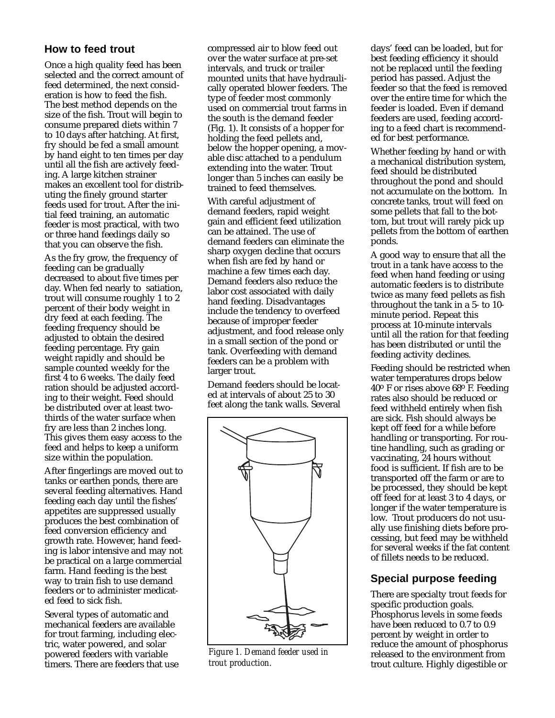### **How to feed trout**

Once a high quality feed has been selected and the correct amount of feed determined, the next consideration is how to feed the fish. The best method depends on the size of the fish. Trout will begin to consume prepared diets within 7 to 10 days after hatching. At first, fry should be fed a small amount by hand eight to ten times per day until all the fish are actively feeding. A large kitchen strainer makes an excellent tool for distributing the finely ground starter feeds used for trout. After the initial feed training, an automatic feeder is most practical, with two or three hand feedings daily so that you can observe the fish.

As the fry grow, the frequency of feeding can be gradually decreased to about five times per day. When fed nearly to satiation, trout will consume roughly 1 to 2 percent of their body weight in dry feed at each feeding. The feeding frequency should be adjusted to obtain the desired feeding percentage. Fry gain weight rapidly and should be sample counted weekly for the first 4 to 6 weeks. The daily feed ration should be adjusted according to their weight. Feed should be distributed over at least twothirds of the water surface when fry are less than 2 inches long. This gives them easy access to the feed and helps to keep a uniform size within the population.

After fingerlings are moved out to tanks or earthen ponds, there are several feeding alternatives. Hand feeding each day until the fishes' appetites are suppressed usually produces the best combination of feed conversion efficiency and growth rate. However, hand feeding is labor intensive and may not be practical on a large commercial farm. Hand feeding is the best way to train fish to use demand feeders or to administer medicated feed to sick fish.

Several types of automatic and mechanical feeders are available for trout farming, including electric, water powered, and solar powered feeders with variable timers. There are feeders that use compressed air to blow feed out over the water surface at pre-set intervals, and truck or trailer mounted units that have hydraulically operated blower feeders. The type of feeder most commonly used on commercial trout farms in the south is the demand feeder (Fig. 1). It consists of a hopper for holding the feed pellets and, below the hopper opening, a movable disc attached to a pendulum extending into the water. Trout longer than 5 inches can easily be trained to feed themselves.

With careful adjustment of demand feeders, rapid weight gain and efficient feed utilization can be attained. The use of demand feeders can eliminate the sharp oxygen decline that occurs when fish are fed by hand or machine a few times each day. Demand feeders also reduce the labor cost associated with daily hand feeding. Disadvantages include the tendency to overfeed because of improper feeder adjustment, and food release only in a small section of the pond or tank. Overfeeding with demand feeders can be a problem with larger trout.

Demand feeders should be located at intervals of about 25 to 30 feet along the tank walls. Several



*Figure 1. Demand feeder used in trout production.*

days' feed can be loaded, but for best feeding efficiency it should not be replaced until the feeding period has passed. Adjust the feeder so that the feed is removed over the entire time for which the feeder is loaded. Even if demand feeders are used, feeding according to a feed chart is recommended for best performance.

Whether feeding by hand or with a mechanical distribution system, feed should be distributed throughout the pond and should not accumulate on the bottom. In concrete tanks, trout will feed on some pellets that fall to the bottom, but trout will rarely pick up pellets from the bottom of earthen ponds.

A good way to ensure that all the trout in a tank have access to the feed when hand feeding or using automatic feeders is to distribute twice as many feed pellets as fish throughout the tank in a 5- to 10 minute period. Repeat this process at 10-minute intervals until all the ration for that feeding has been distributed or until the feeding activity declines.

Feeding should be restricted when water temperatures drops below 40o F or rises above 68o F. Feeding rates also should be reduced or feed withheld entirely when fish are sick. Fish should always be kept off feed for a while before handling or transporting. For routine handling, such as grading or vaccinating, 24 hours without food is sufficient. If fish are to be transported off the farm or are to be processed, they should be kept off feed for at least 3 to 4 days, or longer if the water temperature is low. Trout producers do not usually use finishing diets before processing, but feed may be withheld for several weeks if the fat content of fillets needs to be reduced.

## **Special purpose feeding**

There are specialty trout feeds for specific production goals. Phosphorus levels in some feeds have been reduced to 0.7 to 0.9 percent by weight in order to reduce the amount of phosphorus released to the environment from trout culture. Highly digestible or